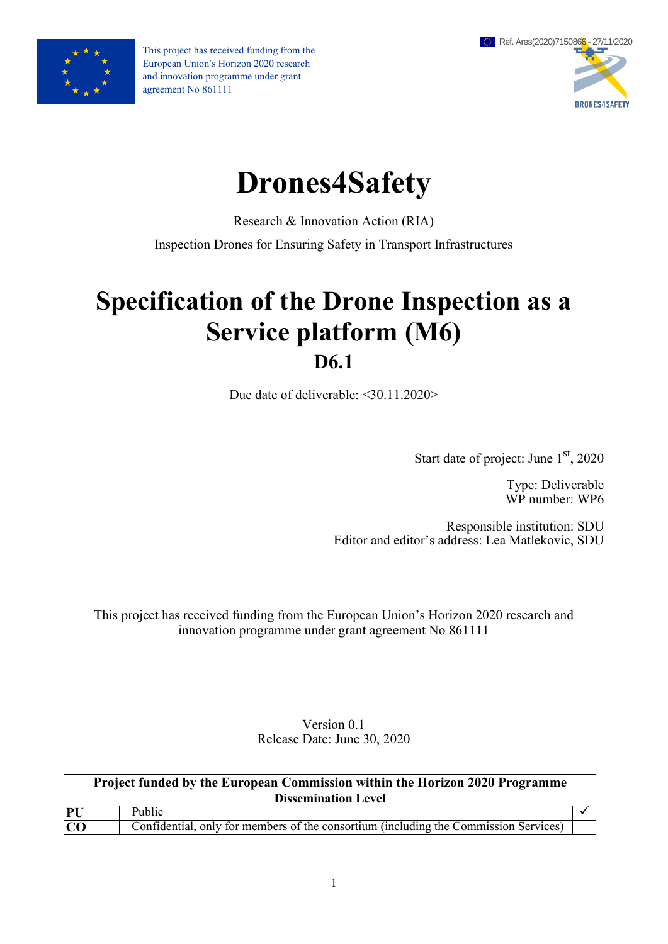

This project has received funding from the European Union's Horizon 2020 research and innovation programme under grant agreement No 861111



# **Drones4Safety**

Research & Innovation Action (RIA)

Inspection Drones for Ensuring Safety in Transport Infrastructures

## **Specification of the Drone Inspection as a Service platform (M6) D6.1**

Due date of deliverable: <30.11.2020>

Start date of project: June 1<sup>st</sup>, 2020

Type: Deliverable WP number: WP6

Responsible institution: SDU Editor and editor's address: Lea Matlekovic, SDU

This project has received funding from the European Union's Horizon 2020 research and innovation programme under grant agreement No 861111

> Version 0.1 Release Date: June 30, 2020

| <b>Project funded by the European Commission within the Horizon 2020 Programme</b> |                                                                                      |  |  |  |  |
|------------------------------------------------------------------------------------|--------------------------------------------------------------------------------------|--|--|--|--|
| <b>Dissemination Level</b>                                                         |                                                                                      |  |  |  |  |
| PU                                                                                 | Public                                                                               |  |  |  |  |
| $\overline{C}$                                                                     | Confidential, only for members of the consortium (including the Commission Services) |  |  |  |  |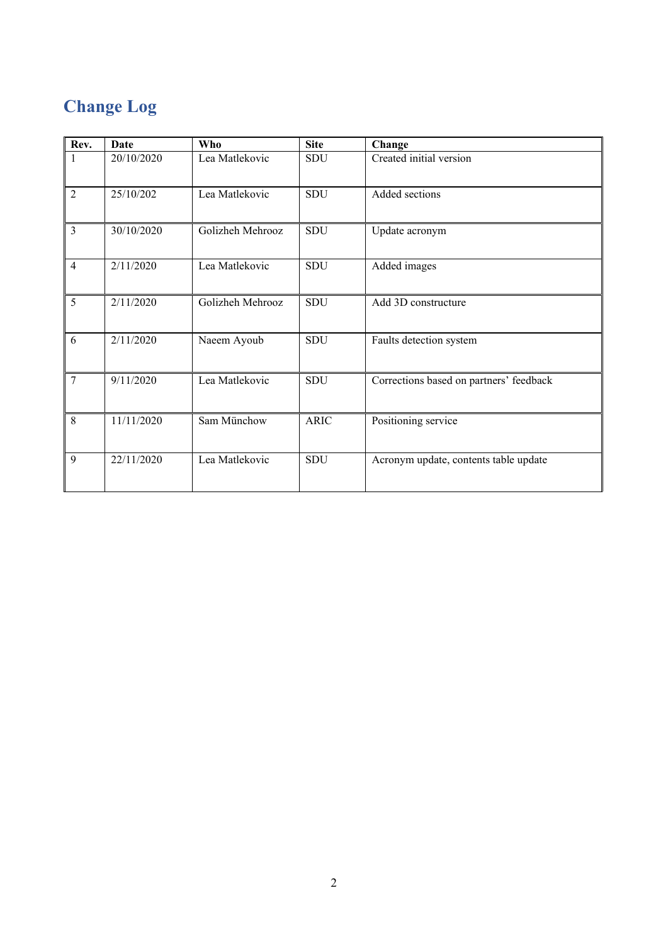## **Change Log**

| Rev.           | <b>Date</b> | Who              | <b>Site</b> | Change                                  |
|----------------|-------------|------------------|-------------|-----------------------------------------|
|                | 20/10/2020  | Lea Matlekovic   | SDU         | Created initial version                 |
| $\overline{2}$ | 25/10/202   | Lea Matlekovic   | SDU         | Added sections                          |
| 3              | 30/10/2020  | Golizheh Mehrooz | <b>SDU</b>  | Update acronym                          |
| $\overline{4}$ | 2/11/2020   | Lea Matlekovic   | <b>SDU</b>  | Added images                            |
| 5              | 2/11/2020   | Golizheh Mehrooz | SDU         | Add 3D constructure                     |
| 6              | 2/11/2020   | Naeem Ayoub      | <b>SDU</b>  | Faults detection system                 |
| 7              | 9/11/2020   | Lea Matlekovic   | <b>SDU</b>  | Corrections based on partners' feedback |
| 8              | 11/11/2020  | Sam Münchow      | <b>ARIC</b> | Positioning service                     |
| 9              | 22/11/2020  | Lea Matlekovic   | SDU         | Acronym update, contents table update   |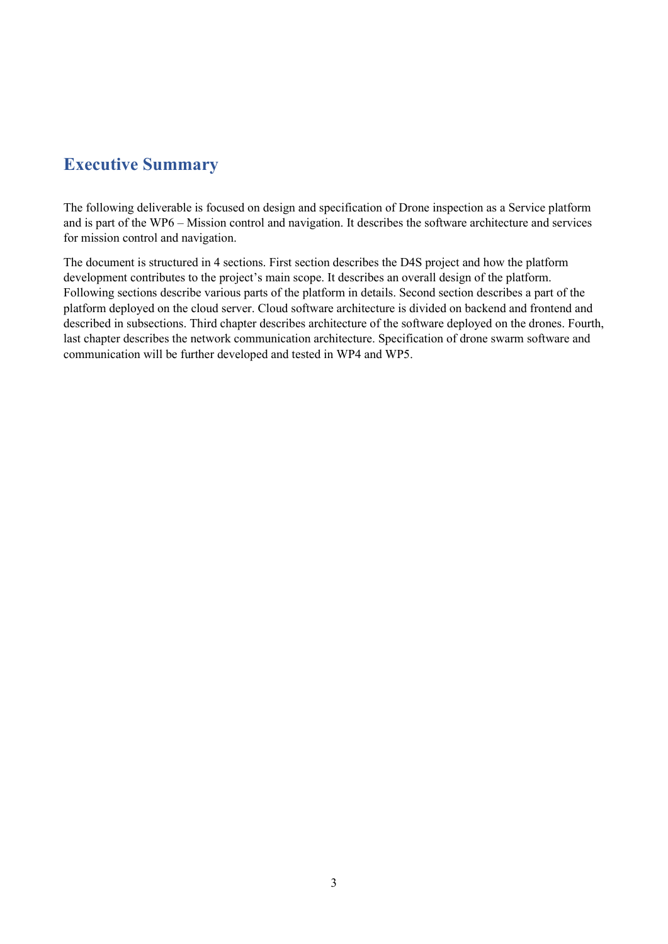## <span id="page-2-0"></span>**Executive Summary**

The following deliverable is focused on design and specification of Drone inspection as a Service platform and is part of the WP6 – Mission control and navigation. It describes the software architecture and services for mission control and navigation.

The document is structured in 4 sections. First section describes the D4S project and how the platform development contributes to the project's main scope. It describes an overall design of the platform. Following sections describe various parts of the platform in details. Second section describes a part of the platform deployed on the cloud server. Cloud software architecture is divided on backend and frontend and described in subsections. Third chapter describes architecture of the software deployed on the drones. Fourth, last chapter describes the network communication architecture. Specification of drone swarm software and communication will be further developed and tested in WP4 and WP5.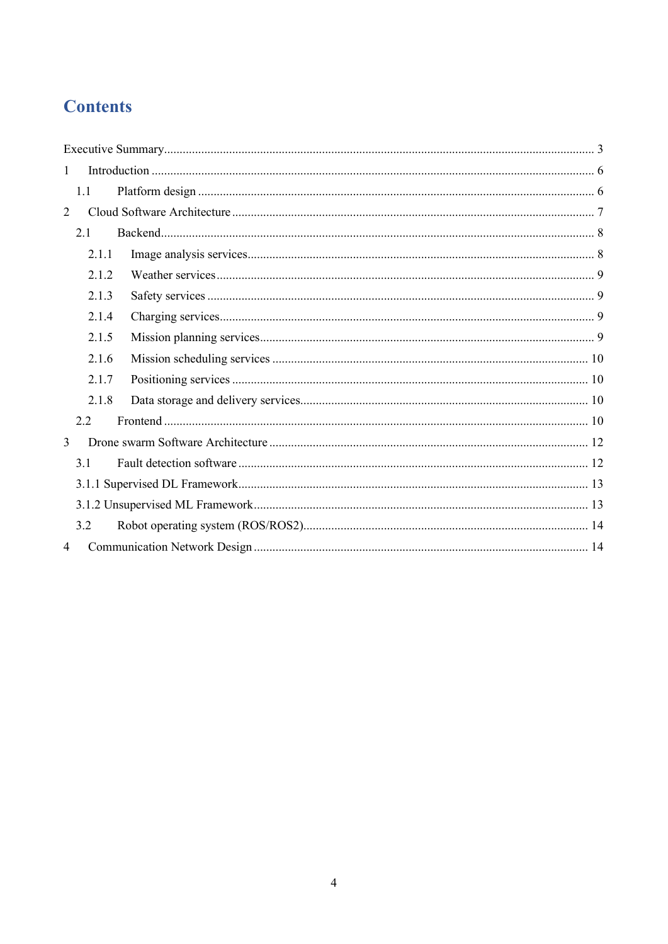## **Contents**

| $\mathbf{1}$   |       |  |  |  |  |  |
|----------------|-------|--|--|--|--|--|
|                | 1.1   |  |  |  |  |  |
| 2              |       |  |  |  |  |  |
|                |       |  |  |  |  |  |
|                | 2.1.1 |  |  |  |  |  |
|                | 2.1.2 |  |  |  |  |  |
|                | 2.1.3 |  |  |  |  |  |
|                | 2.1.4 |  |  |  |  |  |
|                | 2.1.5 |  |  |  |  |  |
|                | 2.1.6 |  |  |  |  |  |
|                | 2.1.7 |  |  |  |  |  |
|                | 2.1.8 |  |  |  |  |  |
|                | 2.2   |  |  |  |  |  |
| 3              |       |  |  |  |  |  |
|                | 3.1   |  |  |  |  |  |
|                |       |  |  |  |  |  |
|                |       |  |  |  |  |  |
|                | 3.2   |  |  |  |  |  |
| $\overline{4}$ |       |  |  |  |  |  |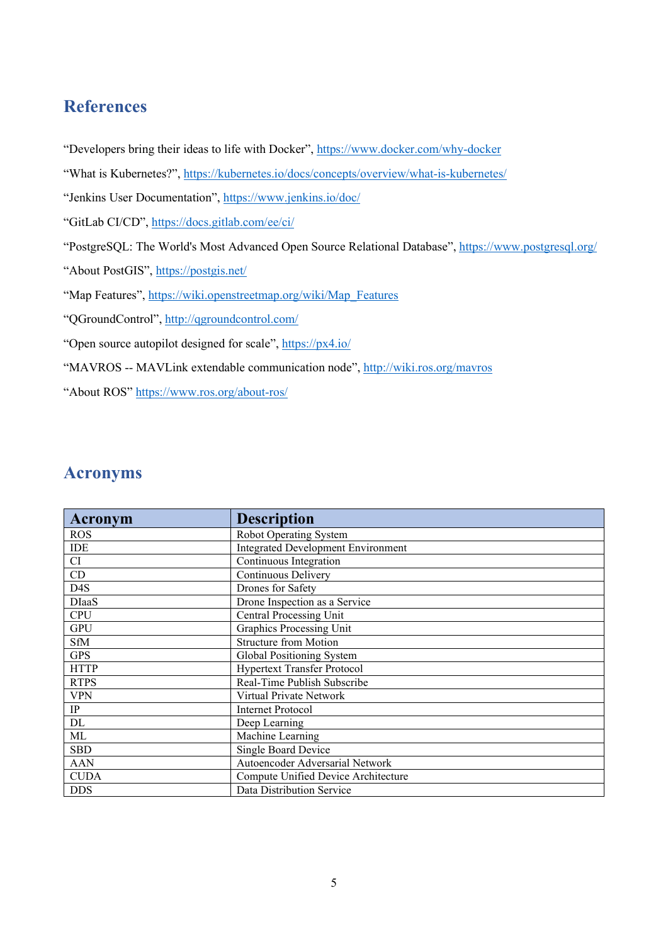## **References**

- "Developers bring their ideas to life with Docker", <https://www.docker.com/why-docker>
- "What is Kubernetes?",<https://kubernetes.io/docs/concepts/overview/what-is-kubernetes/>
- "Jenkins User Documentation",<https://www.jenkins.io/doc/>
- "GitLab CI/CD",<https://docs.gitlab.com/ee/ci/>
- "PostgreSQL: The World's Most Advanced Open Source Relational Database",<https://www.postgresql.org/>
- "About PostGIS",<https://postgis.net/>
- "Map Features", [https://wiki.openstreetmap.org/wiki/Map\\_Features](https://wiki.openstreetmap.org/wiki/Map_Features)
- "QGroundControl",<http://qgroundcontrol.com/>
- "Open source autopilot designed for scale",<https://px4.io/>
- "MAVROS -- MAVLink extendable communication node",<http://wiki.ros.org/mavros>
- "About ROS" <https://www.ros.org/about-ros/>

## **Acronyms**

| <b>Acronym</b>            | <b>Description</b>                        |
|---------------------------|-------------------------------------------|
| <b>ROS</b>                | Robot Operating System                    |
| <b>IDE</b>                | <b>Integrated Development Environment</b> |
| CI                        | Continuous Integration                    |
| CD                        | Continuous Delivery                       |
| D <sub>4</sub> S          | Drones for Safety                         |
| <b>D</b> Iaa <sub>S</sub> | Drone Inspection as a Service             |
| <b>CPU</b>                | <b>Central Processing Unit</b>            |
| <b>GPU</b>                | Graphics Processing Unit                  |
| <b>SfM</b>                | <b>Structure from Motion</b>              |
| <b>GPS</b>                | Global Positioning System                 |
| <b>HTTP</b>               | <b>Hypertext Transfer Protocol</b>        |
| <b>RTPS</b>               | Real-Time Publish Subscribe               |
| <b>VPN</b>                | Virtual Private Network                   |
| IP                        | <b>Internet Protocol</b>                  |
| DL                        | Deep Learning                             |
| ML                        | Machine Learning                          |
| <b>SBD</b>                | Single Board Device                       |
| <b>AAN</b>                | Autoencoder Adversarial Network           |
| <b>CUDA</b>               | Compute Unified Device Architecture       |
| <b>DDS</b>                | Data Distribution Service                 |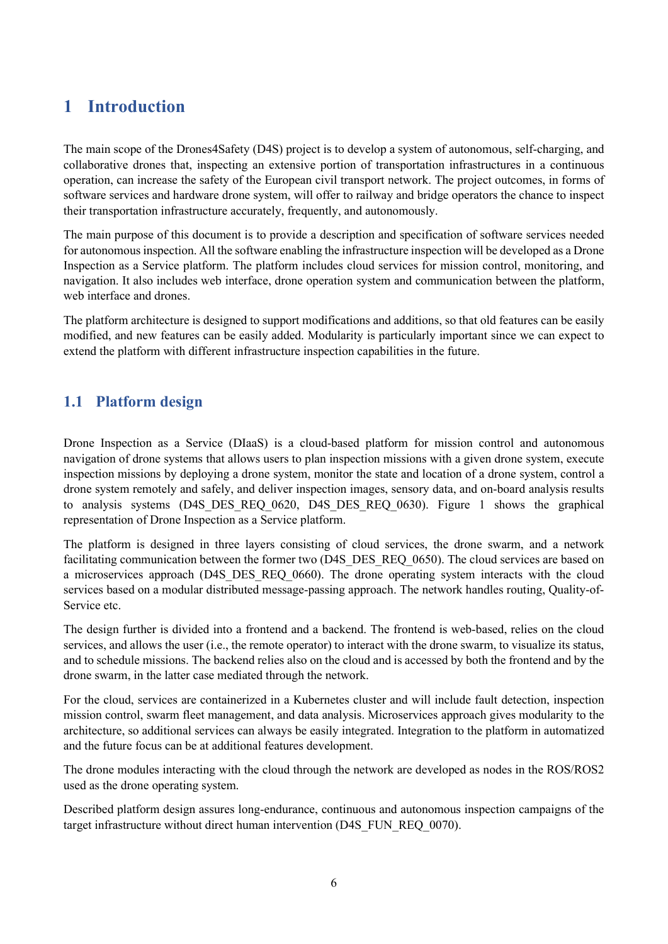## <span id="page-5-0"></span>**1 Introduction**

The main scope of the Drones4Safety (D4S) project is to develop a system of autonomous, self-charging, and collaborative drones that, inspecting an extensive portion of transportation infrastructures in a continuous operation, can increase the safety of the European civil transport network. The project outcomes, in forms of software services and hardware drone system, will offer to railway and bridge operators the chance to inspect their transportation infrastructure accurately, frequently, and autonomously.

The main purpose of this document is to provide a description and specification of software services needed for autonomous inspection. All the software enabling the infrastructure inspection will be developed as a Drone Inspection as a Service platform. The platform includes cloud services for mission control, monitoring, and navigation. It also includes web interface, drone operation system and communication between the platform, web interface and drones.

The platform architecture is designed to support modifications and additions, so that old features can be easily modified, and new features can be easily added. Modularity is particularly important since we can expect to extend the platform with different infrastructure inspection capabilities in the future.

## <span id="page-5-1"></span>**1.1 Platform design**

Drone Inspection as a Service (DIaaS) is a cloud-based platform for mission control and autonomous navigation of drone systems that allows users to plan inspection missions with a given drone system, execute inspection missions by deploying a drone system, monitor the state and location of a drone system, control a drone system remotely and safely, and deliver inspection images, sensory data, and on-board analysis results to analysis systems (D4S DES REQ 0620, D4S DES REQ 0630). Figure 1 shows the graphical representation of Drone Inspection as a Service platform.

The platform is designed in three layers consisting of cloud services, the drone swarm, and a network facilitating communication between the former two (D4S\_DES\_REO\_0650). The cloud services are based on a microservices approach (D4S DES REQ 0660). The drone operating system interacts with the cloud services based on a modular distributed message-passing approach. The network handles routing, Quality-of-Service etc.

The design further is divided into a frontend and a backend. The frontend is web-based, relies on the cloud services, and allows the user (i.e., the remote operator) to interact with the drone swarm, to visualize its status, and to schedule missions. The backend relies also on the cloud and is accessed by both the frontend and by the drone swarm, in the latter case mediated through the network.

For the cloud, services are containerized in a Kubernetes cluster and will include fault detection, inspection mission control, swarm fleet management, and data analysis. Microservices approach gives modularity to the architecture, so additional services can always be easily integrated. Integration to the platform in automatized and the future focus can be at additional features development.

The drone modules interacting with the cloud through the network are developed as nodes in the ROS/ROS2 used as the drone operating system.

Described platform design assures long-endurance, continuous and autonomous inspection campaigns of the target infrastructure without direct human intervention (D4S\_FUN\_REQ\_0070).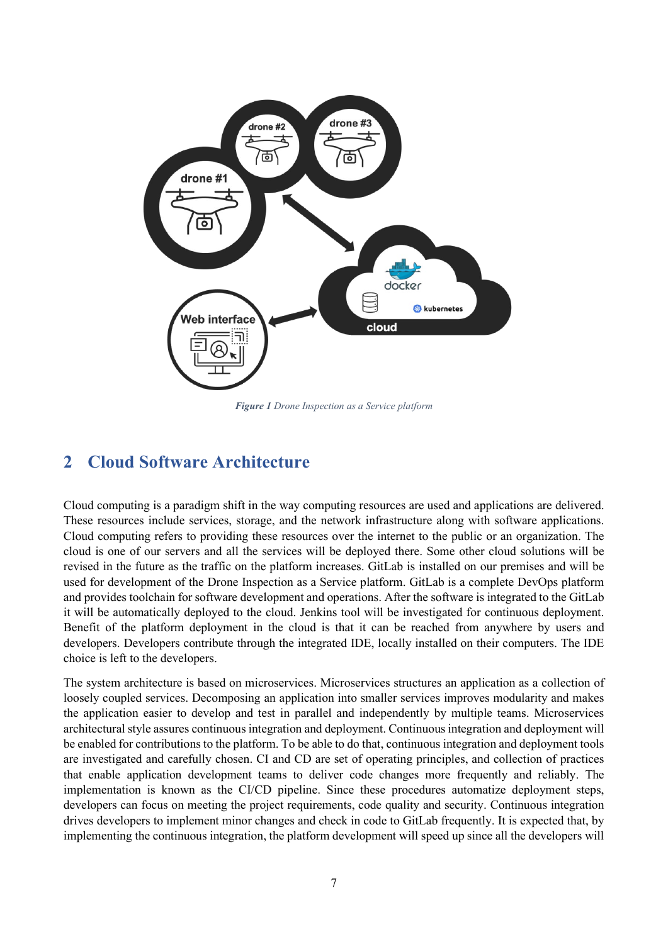

*Figure 1 Drone Inspection as a Service platform*

## <span id="page-6-0"></span>**2 Cloud Software Architecture**

Cloud computing is a paradigm shift in the way computing resources are used and applications are delivered. These resources include services, storage, and the network infrastructure along with software applications. Cloud computing refers to providing these resources over the internet to the public or an organization. The cloud is one of our servers and all the services will be deployed there. Some other cloud solutions will be revised in the future as the traffic on the platform increases. GitLab is installed on our premises and will be used for development of the Drone Inspection as a Service platform. GitLab is a complete DevOps platform and provides toolchain for software development and operations. After the software is integrated to the GitLab it will be automatically deployed to the cloud. Jenkins tool will be investigated for continuous deployment. Benefit of the platform deployment in the cloud is that it can be reached from anywhere by users and developers. Developers contribute through the integrated IDE, locally installed on their computers. The IDE choice is left to the developers.

The system architecture is based on microservices. Microservices structures an application as a collection of loosely coupled services. Decomposing an application into smaller services improves modularity and makes the application easier to develop and test in parallel and independently by multiple teams. Microservices architectural style assures continuous integration and deployment. Continuous integration and deployment will be enabled for contributions to the platform. To be able to do that, continuous integration and deployment tools are investigated and carefully chosen. CI and CD are set of operating principles, and collection of practices that enable application development teams to deliver code changes more frequently and reliably. The implementation is known as the CI/CD pipeline. Since these procedures automatize deployment steps, developers can focus on meeting the project requirements, code quality and security. Continuous integration drives developers to implement minor changes and check in code to GitLab frequently. It is expected that, by implementing the continuous integration, the platform development will speed up since all the developers will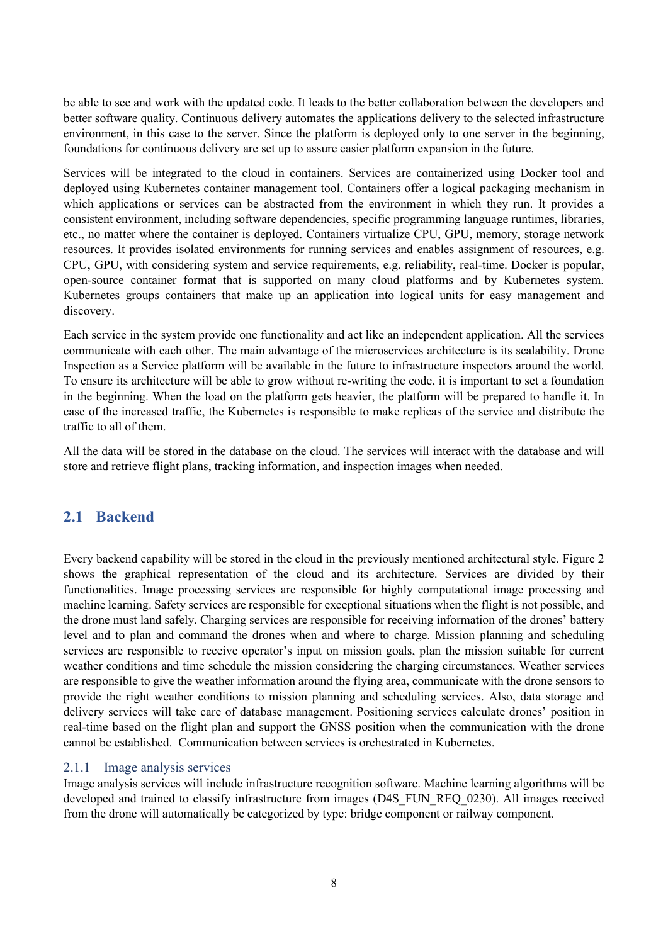be able to see and work with the updated code. It leads to the better collaboration between the developers and better software quality. Continuous delivery automates the applications delivery to the selected infrastructure environment, in this case to the server. Since the platform is deployed only to one server in the beginning, foundations for continuous delivery are set up to assure easier platform expansion in the future.

Services will be integrated to the cloud in containers. Services are containerized using Docker tool and deployed using Kubernetes container management tool. Containers offer a logical packaging mechanism in which applications or services can be abstracted from the environment in which they run. It provides a consistent environment, including software dependencies, specific programming language runtimes, libraries, etc., no matter where the container is deployed. Containers virtualize CPU, GPU, memory, storage network resources. It provides isolated environments for running services and enables assignment of resources, e.g. CPU, GPU, with considering system and service requirements, e.g. reliability, real-time. Docker is popular, open-source container format that is supported on many cloud platforms and by Kubernetes system. Kubernetes groups containers that make up an application into logical units for easy management and discovery.

Each service in the system provide one functionality and act like an independent application. All the services communicate with each other. The main advantage of the microservices architecture is its scalability. Drone Inspection as a Service platform will be available in the future to infrastructure inspectors around the world. To ensure its architecture will be able to grow without re-writing the code, it is important to set a foundation in the beginning. When the load on the platform gets heavier, the platform will be prepared to handle it. In case of the increased traffic, the Kubernetes is responsible to make replicas of the service and distribute the traffic to all of them.

All the data will be stored in the database on the cloud. The services will interact with the database and will store and retrieve flight plans, tracking information, and inspection images when needed.

### <span id="page-7-0"></span>**2.1 Backend**

Every backend capability will be stored in the cloud in the previously mentioned architectural style. Figure 2 shows the graphical representation of the cloud and its architecture. Services are divided by their functionalities. Image processing services are responsible for highly computational image processing and machine learning. Safety services are responsible for exceptional situations when the flight is not possible, and the drone must land safely. Charging services are responsible for receiving information of the drones' battery level and to plan and command the drones when and where to charge. Mission planning and scheduling services are responsible to receive operator's input on mission goals, plan the mission suitable for current weather conditions and time schedule the mission considering the charging circumstances. Weather services are responsible to give the weather information around the flying area, communicate with the drone sensors to provide the right weather conditions to mission planning and scheduling services. Also, data storage and delivery services will take care of database management. Positioning services calculate drones' position in real-time based on the flight plan and support the GNSS position when the communication with the drone cannot be established. Communication between services is orchestrated in Kubernetes.

#### <span id="page-7-1"></span>2.1.1 Image analysis services

Image analysis services will include infrastructure recognition software. Machine learning algorithms will be developed and trained to classify infrastructure from images (D4S\_FUN\_REQ\_0230). All images received from the drone will automatically be categorized by type: bridge component or railway component.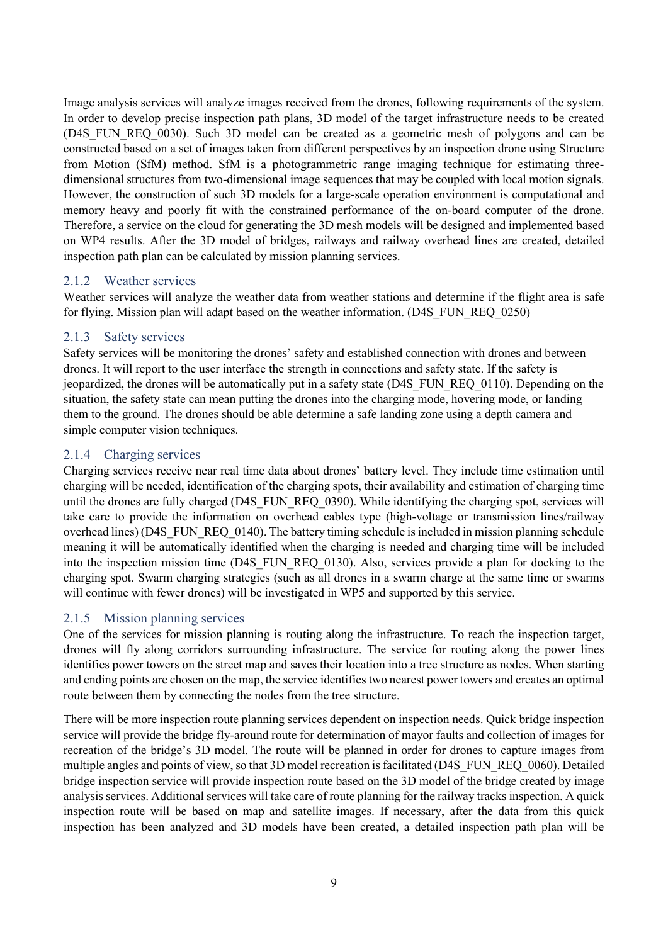Image analysis services will analyze images received from the drones, following requirements of the system. In order to develop precise inspection path plans, 3D model of the target infrastructure needs to be created (D4S\_FUN\_REQ\_0030). Such 3D model can be created as a geometric mesh of polygons and can be constructed based on a set of images taken from different perspectives by an inspection drone using Structure from Motion (SfM) method. SfM is a photogrammetric range imaging technique for estimating threedimensional structures from two-dimensional image sequences that may be coupled with local motion signals. However, the construction of such 3D models for a large-scale operation environment is computational and memory heavy and poorly fit with the constrained performance of the on-board computer of the drone. Therefore, a service on the cloud for generating the 3D mesh models will be designed and implemented based on WP4 results. After the 3D model of bridges, railways and railway overhead lines are created, detailed inspection path plan can be calculated by mission planning services.

#### <span id="page-8-0"></span>2.1.2 Weather services

Weather services will analyze the weather data from weather stations and determine if the flight area is safe for flying. Mission plan will adapt based on the weather information. (D4S\_FUN\_REQ\_0250)

#### <span id="page-8-1"></span>2.1.3 Safety services

Safety services will be monitoring the drones' safety and established connection with drones and between drones. It will report to the user interface the strength in connections and safety state. If the safety is jeopardized, the drones will be automatically put in a safety state (D4S\_FUN\_REQ\_0110). Depending on the situation, the safety state can mean putting the drones into the charging mode, hovering mode, or landing them to the ground. The drones should be able determine a safe landing zone using a depth camera and simple computer vision techniques.

#### <span id="page-8-2"></span>2.1.4 Charging services

Charging services receive near real time data about drones' battery level. They include time estimation until charging will be needed, identification of the charging spots, their availability and estimation of charging time until the drones are fully charged (D4S\_FUN\_REQ\_0390). While identifying the charging spot, services will take care to provide the information on overhead cables type (high-voltage or transmission lines/railway overhead lines) (D4S\_FUN\_REQ\_0140). The battery timing schedule is included in mission planning schedule meaning it will be automatically identified when the charging is needed and charging time will be included into the inspection mission time (D4S\_FUN\_REQ\_0130). Also, services provide a plan for docking to the charging spot. Swarm charging strategies (such as all drones in a swarm charge at the same time or swarms will continue with fewer drones) will be investigated in WP5 and supported by this service.

#### <span id="page-8-3"></span>2.1.5 Mission planning services

One of the services for mission planning is routing along the infrastructure. To reach the inspection target, drones will fly along corridors surrounding infrastructure. The service for routing along the power lines identifies power towers on the street map and saves their location into a tree structure as nodes. When starting and ending points are chosen on the map, the service identifies two nearest power towers and creates an optimal route between them by connecting the nodes from the tree structure.

There will be more inspection route planning services dependent on inspection needs. Quick bridge inspection service will provide the bridge fly-around route for determination of mayor faults and collection of images for recreation of the bridge's 3D model. The route will be planned in order for drones to capture images from multiple angles and points of view, so that 3D model recreation is facilitated (D4S\_FUN\_REQ\_0060). Detailed bridge inspection service will provide inspection route based on the 3D model of the bridge created by image analysis services. Additional services will take care of route planning for the railway tracks inspection. A quick inspection route will be based on map and satellite images. If necessary, after the data from this quick inspection has been analyzed and 3D models have been created, a detailed inspection path plan will be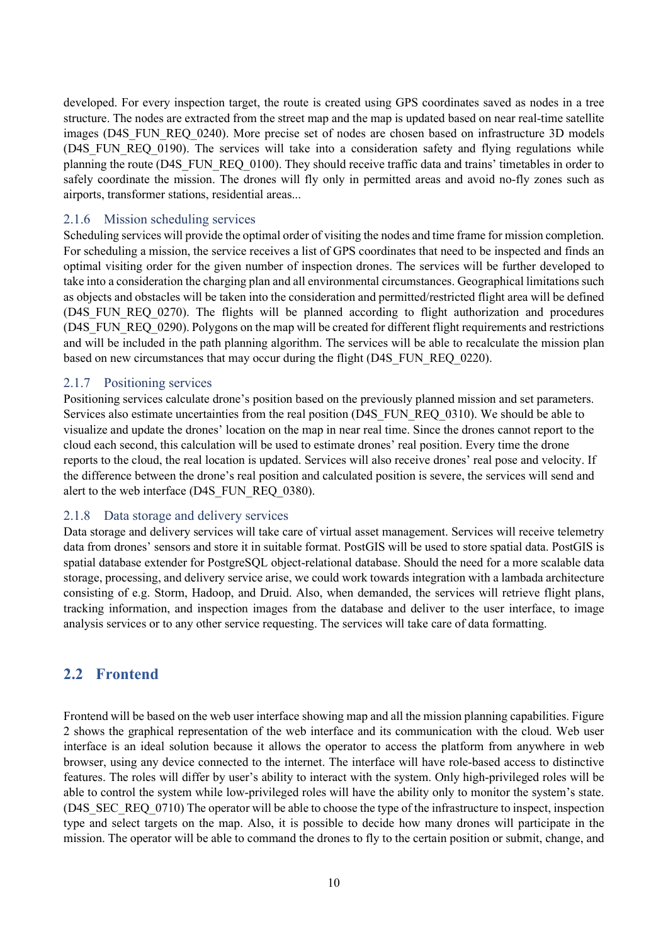developed. For every inspection target, the route is created using GPS coordinates saved as nodes in a tree structure. The nodes are extracted from the street map and the map is updated based on near real-time satellite images (D4S\_FUN\_REQ\_0240). More precise set of nodes are chosen based on infrastructure 3D models (D4S\_FUN\_REQ\_0190). The services will take into a consideration safety and flying regulations while planning the route (D4S\_FUN\_REQ\_0100). They should receive traffic data and trains' timetables in order to safely coordinate the mission. The drones will fly only in permitted areas and avoid no-fly zones such as airports, transformer stations, residential areas...

#### <span id="page-9-0"></span>2.1.6 Mission scheduling services

Scheduling services will provide the optimal order of visiting the nodes and time frame for mission completion. For scheduling a mission, the service receives a list of GPS coordinates that need to be inspected and finds an optimal visiting order for the given number of inspection drones. The services will be further developed to take into a consideration the charging plan and all environmental circumstances. Geographical limitations such as objects and obstacles will be taken into the consideration and permitted/restricted flight area will be defined (D4S\_FUN\_REQ\_0270). The flights will be planned according to flight authorization and procedures (D4S\_FUN\_REQ\_0290). Polygons on the map will be created for different flight requirements and restrictions and will be included in the path planning algorithm. The services will be able to recalculate the mission plan based on new circumstances that may occur during the flight (D4S\_FUN\_REQ\_0220).

#### <span id="page-9-1"></span>2.1.7 Positioning services

Positioning services calculate drone's position based on the previously planned mission and set parameters. Services also estimate uncertainties from the real position (D4S\_FUN\_REQ\_0310). We should be able to visualize and update the drones' location on the map in near real time. Since the drones cannot report to the cloud each second, this calculation will be used to estimate drones' real position. Every time the drone reports to the cloud, the real location is updated. Services will also receive drones' real pose and velocity. If the difference between the drone's real position and calculated position is severe, the services will send and alert to the web interface (D4S\_FUN\_REQ\_0380).

#### <span id="page-9-2"></span>2.1.8 Data storage and delivery services

Data storage and delivery services will take care of virtual asset management. Services will receive telemetry data from drones' sensors and store it in suitable format. PostGIS will be used to store spatial data. PostGIS is spatial database extender for PostgreSQL object-relational database. Should the need for a more scalable data storage, processing, and delivery service arise, we could work towards integration with a lambada architecture consisting of e.g. Storm, Hadoop, and Druid. Also, when demanded, the services will retrieve flight plans, tracking information, and inspection images from the database and deliver to the user interface, to image analysis services or to any other service requesting. The services will take care of data formatting.

### <span id="page-9-3"></span>**2.2 Frontend**

Frontend will be based on the web user interface showing map and all the mission planning capabilities. Figure 2 shows the graphical representation of the web interface and its communication with the cloud. Web user interface is an ideal solution because it allows the operator to access the platform from anywhere in web browser, using any device connected to the internet. The interface will have role-based access to distinctive features. The roles will differ by user's ability to interact with the system. Only high-privileged roles will be able to control the system while low-privileged roles will have the ability only to monitor the system's state. (D4S\_SEC\_REQ\_0710) The operator will be able to choose the type of the infrastructure to inspect, inspection type and select targets on the map. Also, it is possible to decide how many drones will participate in the mission. The operator will be able to command the drones to fly to the certain position or submit, change, and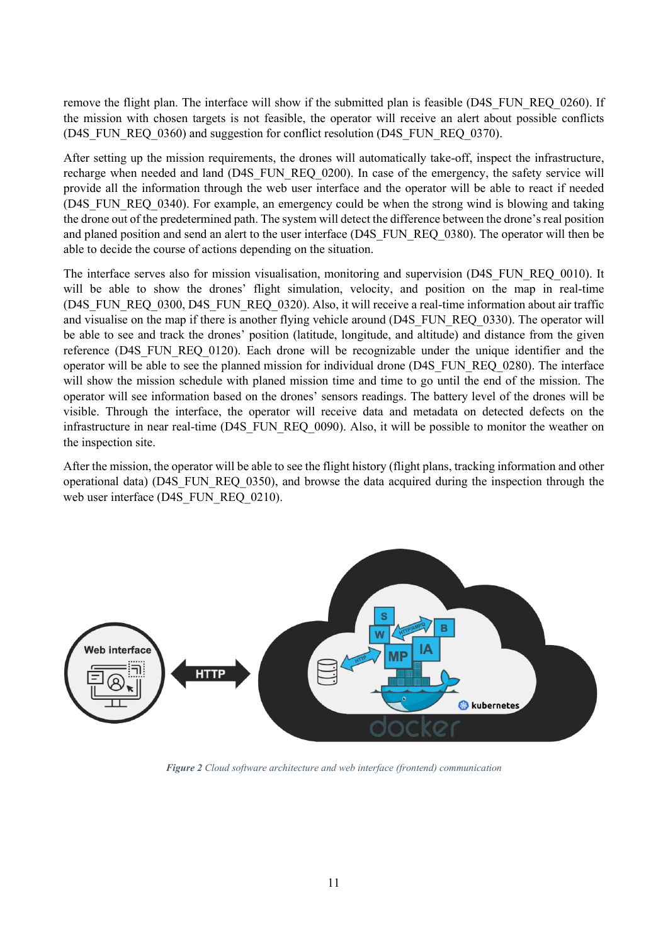remove the flight plan. The interface will show if the submitted plan is feasible (D4S\_FUN\_REQ\_0260). If the mission with chosen targets is not feasible, the operator will receive an alert about possible conflicts (D4S\_FUN\_REQ\_0360) and suggestion for conflict resolution (D4S\_FUN\_REQ\_0370).

After setting up the mission requirements, the drones will automatically take-off, inspect the infrastructure, recharge when needed and land (D4S\_FUN\_REQ\_0200). In case of the emergency, the safety service will provide all the information through the web user interface and the operator will be able to react if needed (D4S FUN REO 0340). For example, an emergency could be when the strong wind is blowing and taking the drone out of the predetermined path. The system will detect the difference between the drone's real position and planed position and send an alert to the user interface (D4S\_FUN\_REQ\_0380). The operator will then be able to decide the course of actions depending on the situation.

The interface serves also for mission visualisation, monitoring and supervision (D4S\_FUN\_REQ\_0010). It will be able to show the drones' flight simulation, velocity, and position on the map in real-time (D4S\_FUN\_REQ\_0300, D4S\_FUN\_REQ\_0320). Also, it will receive a real-time information about air traffic and visualise on the map if there is another flying vehicle around (D4S\_FUN\_REQ\_0330). The operator will be able to see and track the drones' position (latitude, longitude, and altitude) and distance from the given reference (D4S\_FUN\_REQ\_0120). Each drone will be recognizable under the unique identifier and the operator will be able to see the planned mission for individual drone (D4S\_FUN\_REQ\_0280). The interface will show the mission schedule with planed mission time and time to go until the end of the mission. The operator will see information based on the drones' sensors readings. The battery level of the drones will be visible. Through the interface, the operator will receive data and metadata on detected defects on the infrastructure in near real-time (D4S\_FUN\_REQ\_0090). Also, it will be possible to monitor the weather on the inspection site.

After the mission, the operator will be able to see the flight history (flight plans, tracking information and other operational data) (D4S\_FUN\_REQ\_0350), and browse the data acquired during the inspection through the web user interface (D4S\_FUN\_REQ\_0210).



*Figure 2 Cloud software architecture and web interface (frontend) communication*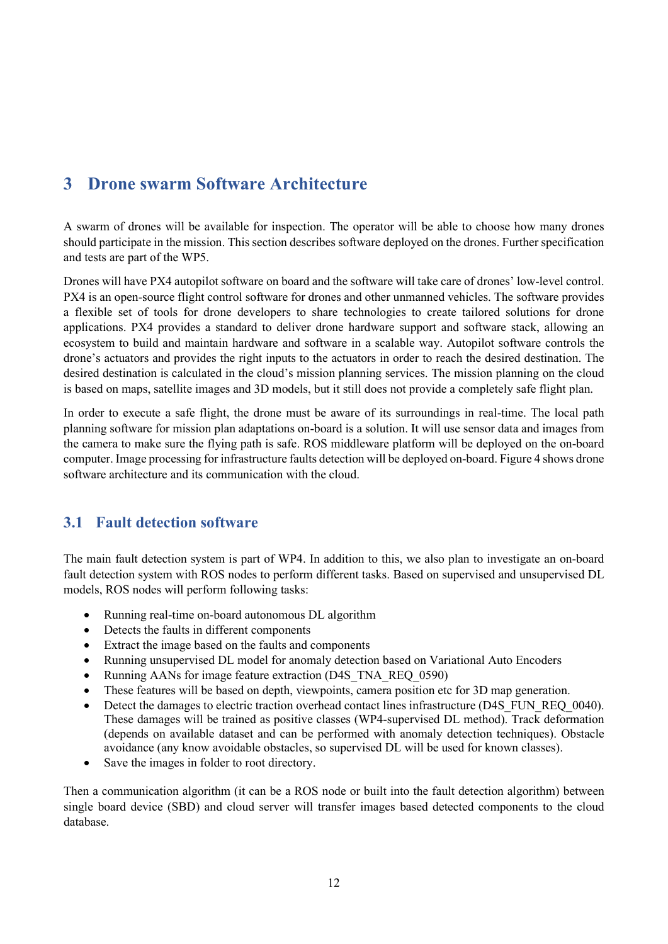## <span id="page-11-0"></span>**3 Drone swarm Software Architecture**

A swarm of drones will be available for inspection. The operator will be able to choose how many drones should participate in the mission. This section describes software deployed on the drones. Further specification and tests are part of the WP5.

Drones will have PX4 autopilot software on board and the software will take care of drones' low-level control. PX4 is an open-source flight control software for drones and other unmanned vehicles. The software provides a flexible set of tools for drone developers to share technologies to create tailored solutions for drone applications. PX4 provides a standard to deliver drone hardware support and software stack, allowing an ecosystem to build and maintain hardware and software in a scalable way. Autopilot software controls the drone's actuators and provides the right inputs to the actuators in order to reach the desired destination. The desired destination is calculated in the cloud's mission planning services. The mission planning on the cloud is based on maps, satellite images and 3D models, but it still does not provide a completely safe flight plan.

In order to execute a safe flight, the drone must be aware of its surroundings in real-time. The local path planning software for mission plan adaptations on-board is a solution. It will use sensor data and images from the camera to make sure the flying path is safe. ROS middleware platform will be deployed on the on-board computer. Image processing for infrastructure faults detection will be deployed on-board. Figure 4 shows drone software architecture and its communication with the cloud.

## <span id="page-11-1"></span>**3.1 Fault detection software**

The main fault detection system is part of WP4. In addition to this, we also plan to investigate an on-board fault detection system with ROS nodes to perform different tasks. Based on supervised and unsupervised DL models, ROS nodes will perform following tasks:

- Running real-time on-board autonomous DL algorithm
- Detects the faults in different components
- Extract the image based on the faults and components
- Running unsupervised DL model for anomaly detection based on Variational Auto Encoders
- Running AANs for image feature extraction (D4S\_TNA\_REQ\_0590)
- These features will be based on depth, viewpoints, camera position etc for 3D map generation.
- Detect the damages to electric traction overhead contact lines infrastructure (D4S\_FUN\_REQ\_0040). These damages will be trained as positive classes (WP4-supervised DL method). Track deformation (depends on available dataset and can be performed with anomaly detection techniques). Obstacle avoidance (any know avoidable obstacles, so supervised DL will be used for known classes).
- Save the images in folder to root directory.

Then a communication algorithm (it can be a ROS node or built into the fault detection algorithm) between single board device (SBD) and cloud server will transfer images based detected components to the cloud database.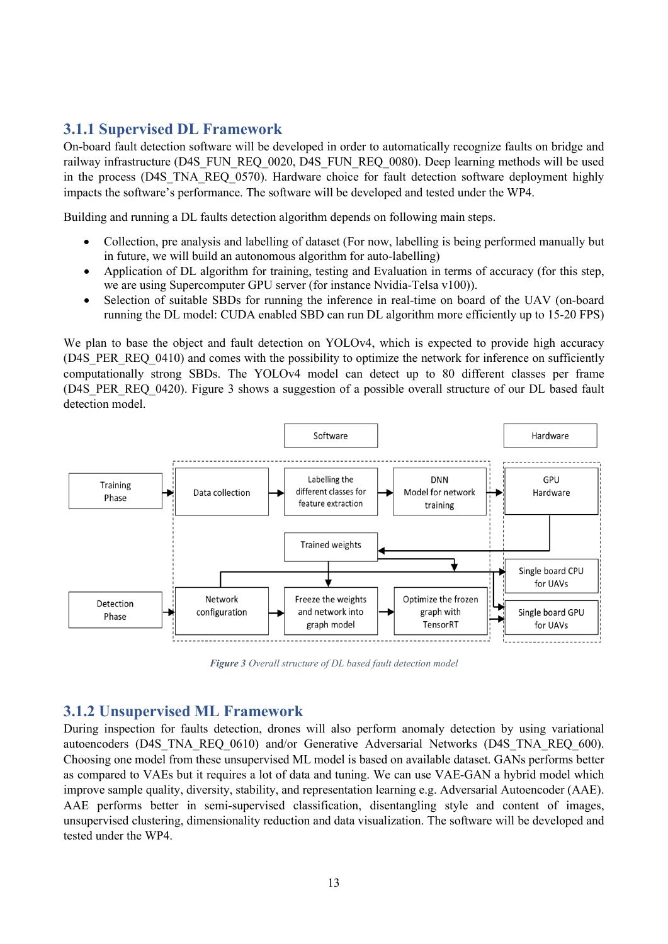## <span id="page-12-0"></span>**3.1.1 Supervised DL Framework**

On-board fault detection software will be developed in order to automatically recognize faults on bridge and railway infrastructure (D4S\_FUN\_REQ\_0020, D4S\_FUN\_REQ\_0080). Deep learning methods will be used in the process (D4S\_TNA\_REQ\_0570). Hardware choice for fault detection software deployment highly impacts the software's performance. The software will be developed and tested under the WP4.

Building and running a DL faults detection algorithm depends on following main steps.

- Collection, pre analysis and labelling of dataset (For now, labelling is being performed manually but in future, we will build an autonomous algorithm for auto-labelling)
- Application of DL algorithm for training, testing and Evaluation in terms of accuracy (for this step, we are using Supercomputer GPU server (for instance Nvidia-Telsa v100)).
- Selection of suitable SBDs for running the inference in real-time on board of the UAV (on-board running the DL model: CUDA enabled SBD can run DL algorithm more efficiently up to 15-20 FPS)

We plan to base the object and fault detection on YOLOv4, which is expected to provide high accuracy (D4S PER REQ 0410) and comes with the possibility to optimize the network for inference on sufficiently computationally strong SBDs. The YOLOv4 model can detect up to 80 different classes per frame (D4S PER REO 0420). Figure 3 shows a suggestion of a possible overall structure of our DL based fault detection model.



*Figure 3 Overall structure of DL based fault detection model*

#### <span id="page-12-1"></span>**3.1.2 Unsupervised ML Framework**

During inspection for faults detection, drones will also perform anomaly detection by using variational autoencoders (D4S\_TNA\_REQ\_0610) and/or Generative Adversarial Networks (D4S\_TNA\_REQ\_600). Choosing one model from these unsupervised ML model is based on available dataset. GANs performs better as compared to VAEs but it requires a lot of data and tuning. We can use VAE-GAN a hybrid model which improve sample quality, diversity, stability, and representation learning e.g. Adversarial Autoencoder (AAE). AAE performs better in semi-supervised classification, disentangling style and content of images, unsupervised clustering, dimensionality reduction and data visualization. The software will be developed and tested under the WP4.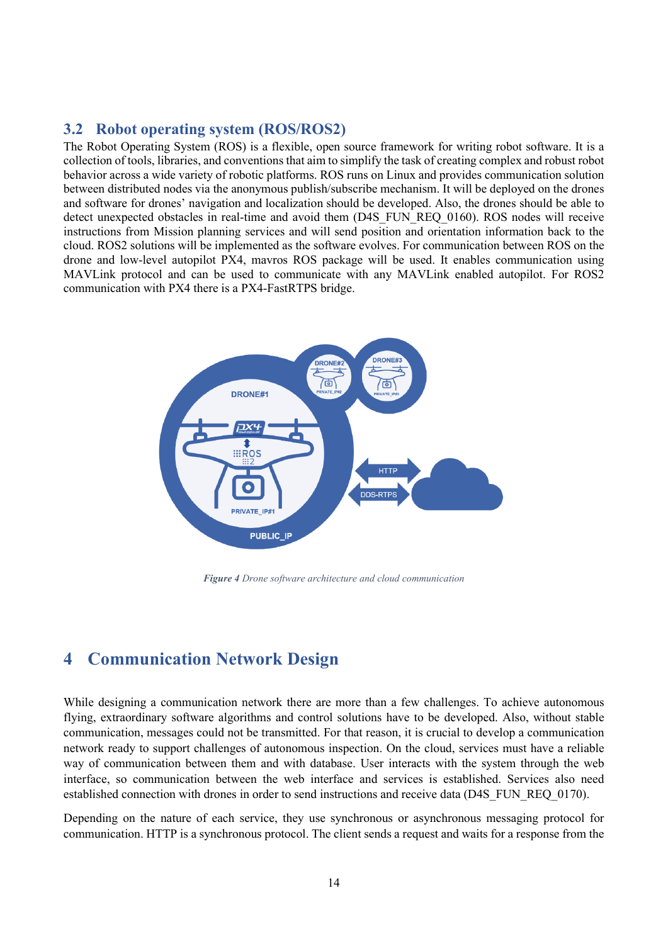### <span id="page-13-0"></span>**3.2 Robot operating system (ROS/ROS2)**

The Robot Operating System (ROS) is a flexible, open source framework for writing robot software. It is a collection of tools, libraries, and conventions that aim to simplify the task of creating complex and robust robot behavior across a wide variety of robotic platforms. ROS runs on Linux and provides communication solution between distributed nodes via the anonymous publish/subscribe mechanism. It will be deployed on the drones and software for drones' navigation and localization should be developed. Also, the drones should be able to detect unexpected obstacles in real-time and avoid them (D4S\_FUN\_REQ\_0160). ROS nodes will receive instructions from Mission planning services and will send position and orientation information back to the cloud. ROS2 solutions will be implemented as the software evolves. For communication between ROS on the drone and low-level autopilot PX4, mavros ROS package will be used. It enables communication using MAVLink protocol and can be used to communicate with any MAVLink enabled autopilot. For ROS2 communication with PX4 there is a PX4-FastRTPS bridge.



*Figure 4 Drone software architecture and cloud communication*

## <span id="page-13-1"></span>**4 Communication Network Design**

While designing a communication network there are more than a few challenges. To achieve autonomous flying, extraordinary software algorithms and control solutions have to be developed. Also, without stable communication, messages could not be transmitted. For that reason, it is crucial to develop a communication network ready to support challenges of autonomous inspection. On the cloud, services must have a reliable way of communication between them and with database. User interacts with the system through the web interface, so communication between the web interface and services is established. Services also need established connection with drones in order to send instructions and receive data (D4S\_FUN\_REQ\_0170).

Depending on the nature of each service, they use synchronous or asynchronous messaging protocol for communication. HTTP is a synchronous protocol. The client sends a request and waits for a response from the